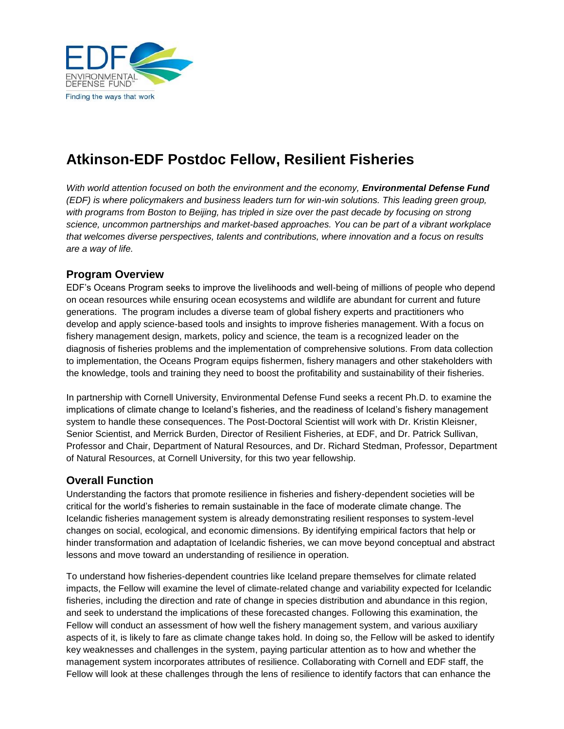

# **Atkinson-EDF Postdoc Fellow, Resilient Fisheries**

*With world attention focused on both the environment and the economy, Environmental Defense Fund (EDF) is where policymakers and business leaders turn for win-win solutions. This leading green group,*  with programs from Boston to Beijing, has tripled in size over the past decade by focusing on strong *science, uncommon partnerships and market-based approaches. You can be part of a vibrant workplace that welcomes diverse perspectives, talents and contributions, where innovation and a focus on results are a way of life.*

## **Program Overview**

EDF's Oceans Program seeks to improve the livelihoods and well-being of millions of people who depend on ocean resources while ensuring ocean ecosystems and wildlife are abundant for current and future generations. The program includes a diverse team of global fishery experts and practitioners who develop and apply science-based tools and insights to improve fisheries management. With a focus on fishery management design, markets, policy and science, the team is a recognized leader on the diagnosis of fisheries problems and the implementation of comprehensive solutions. From data collection to implementation, the Oceans Program equips fishermen, fishery managers and other stakeholders with the knowledge, tools and training they need to boost the profitability and sustainability of their fisheries.

In partnership with Cornell University, Environmental Defense Fund seeks a recent Ph.D. to examine the implications of climate change to Iceland's fisheries, and the readiness of Iceland's fishery management system to handle these consequences. The Post-Doctoral Scientist will work with Dr. Kristin Kleisner, Senior Scientist, and Merrick Burden, Director of Resilient Fisheries, at EDF, and Dr. Patrick Sullivan, Professor and Chair, Department of Natural Resources, and Dr. Richard Stedman, Professor, Department of Natural Resources, at Cornell University, for this two year fellowship.

## **Overall Function**

Understanding the factors that promote resilience in fisheries and fishery-dependent societies will be critical for the world's fisheries to remain sustainable in the face of moderate climate change. The Icelandic fisheries management system is already demonstrating resilient responses to system-level changes on social, ecological, and economic dimensions. By identifying empirical factors that help or hinder transformation and adaptation of Icelandic fisheries, we can move beyond conceptual and abstract lessons and move toward an understanding of resilience in operation.

To understand how fisheries-dependent countries like Iceland prepare themselves for climate related impacts, the Fellow will examine the level of climate-related change and variability expected for Icelandic fisheries, including the direction and rate of change in species distribution and abundance in this region, and seek to understand the implications of these forecasted changes. Following this examination, the Fellow will conduct an assessment of how well the fishery management system, and various auxiliary aspects of it, is likely to fare as climate change takes hold. In doing so, the Fellow will be asked to identify key weaknesses and challenges in the system, paying particular attention as to how and whether the management system incorporates attributes of resilience. Collaborating with Cornell and EDF staff, the Fellow will look at these challenges through the lens of resilience to identify factors that can enhance the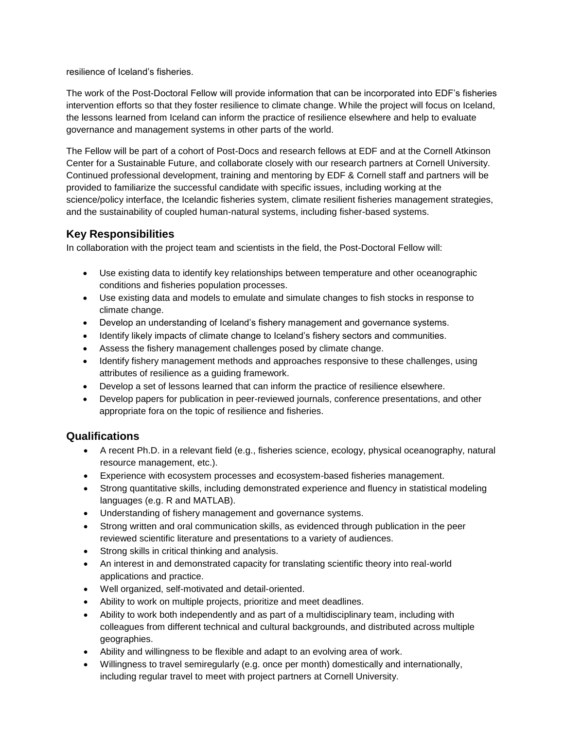resilience of Iceland's fisheries.

The work of the Post-Doctoral Fellow will provide information that can be incorporated into EDF's fisheries intervention efforts so that they foster resilience to climate change. While the project will focus on Iceland, the lessons learned from Iceland can inform the practice of resilience elsewhere and help to evaluate governance and management systems in other parts of the world.

The Fellow will be part of a cohort of Post-Docs and research fellows at EDF and at the Cornell Atkinson Center for a Sustainable Future, and collaborate closely with our research partners at Cornell University. Continued professional development, training and mentoring by EDF & Cornell staff and partners will be provided to familiarize the successful candidate with specific issues, including working at the science/policy interface, the Icelandic fisheries system, climate resilient fisheries management strategies, and the sustainability of coupled human-natural systems, including fisher-based systems.

## **Key Responsibilities**

In collaboration with the project team and scientists in the field, the Post-Doctoral Fellow will:

- Use existing data to identify key relationships between temperature and other oceanographic conditions and fisheries population processes.
- Use existing data and models to emulate and simulate changes to fish stocks in response to climate change.
- Develop an understanding of Iceland's fishery management and governance systems.
- Identify likely impacts of climate change to Iceland's fishery sectors and communities.
- Assess the fishery management challenges posed by climate change.
- Identify fishery management methods and approaches responsive to these challenges, using attributes of resilience as a guiding framework.
- Develop a set of lessons learned that can inform the practice of resilience elsewhere.
- Develop papers for publication in peer-reviewed journals, conference presentations, and other appropriate fora on the topic of resilience and fisheries.

## **Qualifications**

- A recent Ph.D. in a relevant field (e.g., fisheries science, ecology, physical oceanography, natural resource management, etc.).
- Experience with ecosystem processes and ecosystem-based fisheries management.
- Strong quantitative skills, including demonstrated experience and fluency in statistical modeling languages (e.g. R and MATLAB).
- Understanding of fishery management and governance systems.
- Strong written and oral communication skills, as evidenced through publication in the peer reviewed scientific literature and presentations to a variety of audiences.
- Strong skills in critical thinking and analysis.
- An interest in and demonstrated capacity for translating scientific theory into real-world applications and practice.
- Well organized, self-motivated and detail-oriented.
- Ability to work on multiple projects, prioritize and meet deadlines.
- Ability to work both independently and as part of a multidisciplinary team, including with colleagues from different technical and cultural backgrounds, and distributed across multiple geographies.
- Ability and willingness to be flexible and adapt to an evolving area of work.
- Willingness to travel semiregularly (e.g. once per month) domestically and internationally, including regular travel to meet with project partners at Cornell University.